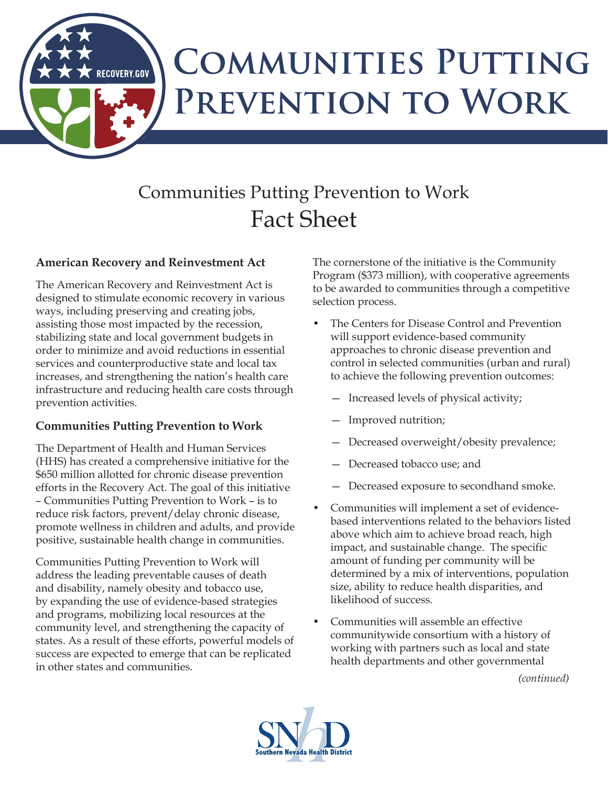## **COMMUNITIES PUTTING** PREVENTION TO WORK

## Communities Putting Prevention to Work Fact Sheet

## **American Recovery and Reinvestment Act**

**RECOVERY.GOV** 

The American Recovery and Reinvestment Act is designed to stimulate economic recovery in various ways, including preserving and creating jobs, assisting those most impacted by the recession, stabilizing state and local government budgets in order to minimize and avoid reductions in essential services and counterproductive state and local tax increases, and strengthening the nation's health care infrastructure and reducing health care costs through prevention activities.

## **Communities Putting Prevention to Work**

The Department of Health and Human Services (HHS) has created a comprehensive initiative for the \$650 million allotted for chronic disease prevention efforts in the Recovery Act. The goal of this initiative – Communities Putting Prevention to Work – is to reduce risk factors, prevent/delay chronic disease, promote wellness in children and adults, and provide positive, sustainable health change in communities.

Communities Putting Prevention to Work will address the leading preventable causes of death and disability, namely obesity and tobacco use, by expanding the use of evidence-based strategies and programs, mobilizing local resources at the community level, and strengthening the capacity of states. As a result of these efforts, powerful models of success are expected to emerge that can be replicated in other states and communities.

The cornerstone of the initiative is the Community Program (\$373 million), with cooperative agreements to be awarded to communities through a competitive selection process.

- The Centers for Disease Control and Prevention will support evidence-based community approaches to chronic disease prevention and control in selected communities (urban and rural) to achieve the following prevention outcomes:
	- Increased levels of physical activity;
	- Improved nutrition;
	- Decreased overweight/obesity prevalence;
	- Decreased tobacco use; and
	- Decreased exposure to secondhand smoke.
- Communities will implement a set of evidencebased interventions related to the behaviors listed above which aim to achieve broad reach, high impact, and sustainable change. The specific amount of funding per community will be determined by a mix of interventions, population size, ability to reduce health disparities, and likelihood of success.
- Communities will assemble an effective communitywide consortium with a history of working with partners such as local and state health departments and other governmental

*(continued)*